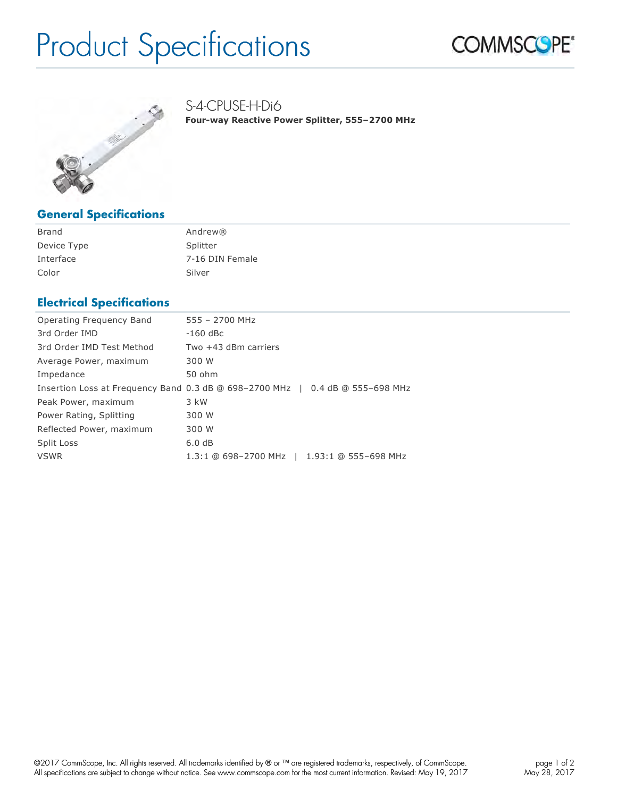# Product Specifications





## **General Specifications**

| Brand       | Andrew®         |
|-------------|-----------------|
| Device Type | Splitter        |
| Interface   | 7-16 DIN Female |
| Color       | Silver          |

#### **Electrical Specifications**

| Operating Frequency Band  | 555 - 2700 MHz                                                                          |
|---------------------------|-----------------------------------------------------------------------------------------|
| 3rd Order IMD             | $-160$ dBc                                                                              |
| 3rd Order IMD Test Method | Two +43 dBm carriers                                                                    |
| Average Power, maximum    | 300 W                                                                                   |
| Impedance                 | 50 ohm                                                                                  |
|                           | Insertion Loss at Frequency Band 0.3 dB @ 698-2700 MHz $\parallel$ 0.4 dB @ 555-698 MHz |
| Peak Power, maximum       | $3$ kW                                                                                  |
| Power Rating, Splitting   | 300 W                                                                                   |
| Reflected Power, maximum  | 300 W                                                                                   |
| Split Loss                | 6.0dB                                                                                   |
| <b>VSWR</b>               | 1.3:1 @ 698-2700 MHz   1.93:1 @ 555-698 MHz                                             |
|                           |                                                                                         |

S-4-CPUSE-H-Di6

**Four-way Reactive Power Splitter, 555–2700 MHz**